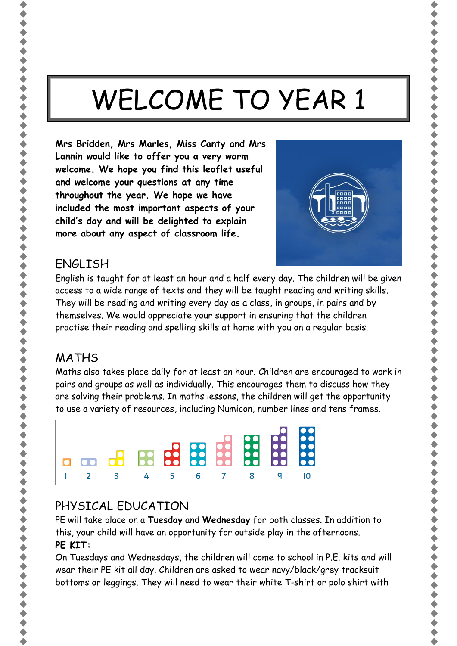# WELCOME TO YEAR 1

**Mrs Bridden, Mrs Marles, Miss Canty and Mrs Lannin would like to offer you a very warm welcome. We hope you find this leaflet useful and welcome your questions at any time throughout the year. We hope we have included the most important aspects of your child's day and will be delighted to explain more about any aspect of classroom life.**



#### ENGLISH

English is taught for at least an hour and a half every day. The children will be given access to a wide range of texts and they will be taught reading and writing skills. They will be reading and writing every day as a class, in groups, in pairs and by themselves. We would appreciate your support in ensuring that the children practise their reading and spelling skills at home with you on a regular basis.

## MATHS

Maths also takes place daily for at least an hour. Children are encouraged to work in pairs and groups as well as individually. This encourages them to discuss how they are solving their problems. In maths lessons, the children will get the opportunity to use a variety of resources, including Numicon, number lines and tens frames.



## PHYSICAL EDUCATION

PE will take place on a **Tuesday** and **Wednesday** for both classes. In addition to this, your child will have an opportunity for outside play in the afternoons. **PE KIT:**

On Tuesdays and Wednesdays, the children will come to school in P.E. kits and will wear their PE kit all day. Children are asked to wear navy/black/grey tracksuit bottoms or leggings. They will need to wear their white T-shirt or polo shirt with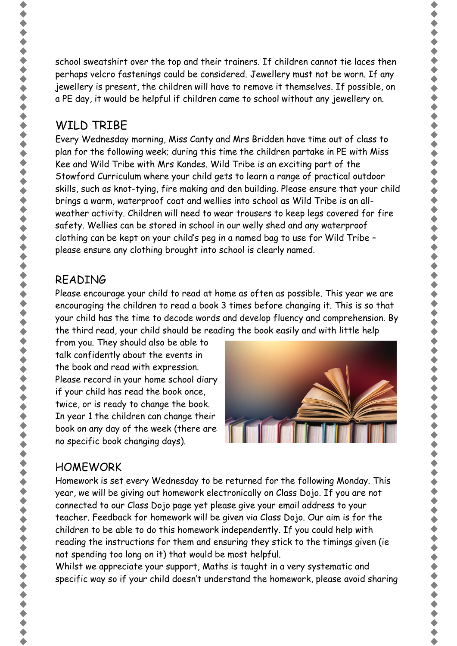school sweatshirt over the top and their trainers. If children cannot tie laces then perhaps velcro fastenings could be considered. Jewellery must not be worn. If any jewellery is present, the children will have to remove it themselves. If possible, on a PE day, it would be helpful if children came to school without any jewellery on.

## WILD TRIBE

Every Wednesday morning, Miss Canty and Mrs Bridden have time out of class to plan for the following week; during this time the children partake in PE with Miss Kee and Wild Tribe with Mrs Kandes. Wild Tribe is an exciting part of the Stowford Curriculum where your child gets to learn a range of practical outdoor skills, such as knot-tying, fire making and den building. Please ensure that your child brings a warm, waterproof coat and wellies into school as Wild Tribe is an allweather activity. Children will need to wear trousers to keep legs covered for fire safety. Wellies can be stored in school in our welly shed and any waterproof clothing can be kept on your child's peg in a named bag to use for Wild Tribe – please ensure any clothing brought into school is clearly named.

#### READING

Please encourage your child to read at home as often as possible. This year we are encouraging the children to read a book 3 times before changing it. This is so that your child has the time to decode words and develop fluency and comprehension. By the third read, your child should be reading the book easily and with little help

from you. They should also be able to talk confidently about the events in the book and read with expression. Please record in your home school diary if your child has read the book once, twice, or is ready to change the book. In year 1 the children can change their book on any day of the week (there are no specific book changing days).



### **HOMEWORK**

Homework is set every Wednesday to be returned for the following Monday. This year, we will be giving out homework electronically on Class Dojo. If you are not connected to our Class Dojo page yet please give your email address to your teacher. Feedback for homework will be given via Class Dojo. Our aim is for the children to be able to do this homework independently. If you could help with reading the instructions for them and ensuring they stick to the timings given (ie not spending too long on it) that would be most helpful.

Whilst we appreciate your support, Maths is taught in a very systematic and specific way so if your child doesn't understand the homework, please avoid sharing